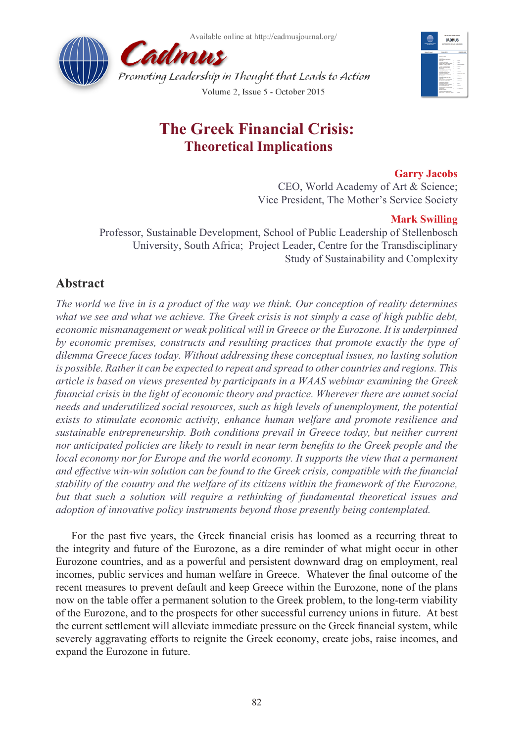



# **The Greek Financial Crisis: Theoretical Implications**

## **Garry Jacobs**

CEO, World Academy of Art & Science; Vice President, The Mother's Service Society

## **Mark Swilling**

Professor, Sustainable Development, School of Public Leadership of Stellenbosch University, South Africa; Project Leader, Centre for the Transdisciplinary Study of Sustainability and Complexity

# **Abstract**

*The world we live in is a product of the way we think. Our conception of reality determines what we see and what we achieve. The Greek crisis is not simply a case of high public debt, economic mismanagement or weak political will in Greece or the Eurozone. It is underpinned by economic premises, constructs and resulting practices that promote exactly the type of dilemma Greece faces today. Without addressing these conceptual issues, no lasting solution is possible. Rather it can be expected to repeat and spread to other countries and regions. This article is based on views presented by participants in a WAAS webinar examining the Greek financial crisis in the light of economic theory and practice. Wherever there are unmet social needs and underutilized social resources, such as high levels of unemployment, the potential exists to stimulate economic activity, enhance human welfare and promote resilience and sustainable entrepreneurship. Both conditions prevail in Greece today, but neither current nor anticipated policies are likely to result in near term benefits to the Greek people and the local economy nor for Europe and the world economy. It supports the view that a permanent and effective win-win solution can be found to the Greek crisis, compatible with the financial stability of the country and the welfare of its citizens within the framework of the Eurozone, but that such a solution will require a rethinking of fundamental theoretical issues and adoption of innovative policy instruments beyond those presently being contemplated.*

For the past five years, the Greek financial crisis has loomed as a recurring threat to the integrity and future of the Eurozone, as a dire reminder of what might occur in other Eurozone countries, and as a powerful and persistent downward drag on employment, real incomes, public services and human welfare in Greece. Whatever the final outcome of the recent measures to prevent default and keep Greece within the Eurozone, none of the plans now on the table offer a permanent solution to the Greek problem, to the long-term viability of the Eurozone, and to the prospects for other successful currency unions in future. At best the current settlement will alleviate immediate pressure on the Greek financial system, while severely aggravating efforts to reignite the Greek economy, create jobs, raise incomes, and expand the Eurozone in future.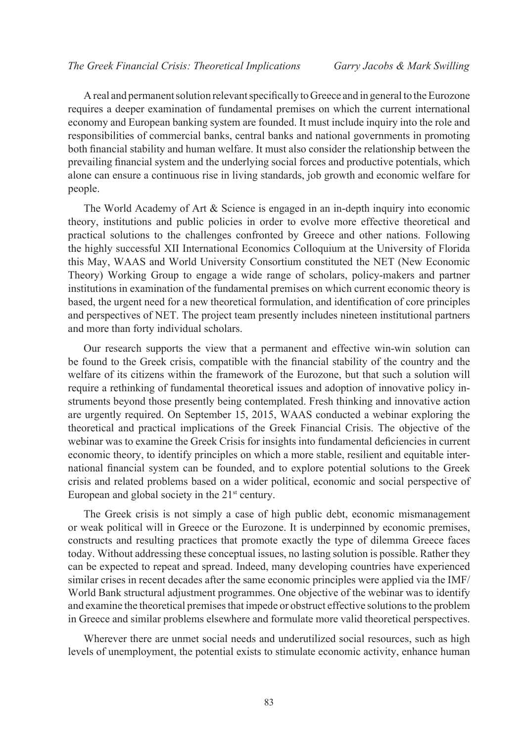A real and permanent solution relevant specifically to Greece and in general to the Eurozone requires a deeper examination of fundamental premises on which the current international economy and European banking system are founded. It must include inquiry into the role and responsibilities of commercial banks, central banks and national governments in promoting both financial stability and human welfare. It must also consider the relationship between the prevailing financial system and the underlying social forces and productive potentials, which alone can ensure a continuous rise in living standards, job growth and economic welfare for people.

The World Academy of Art  $\&$  Science is engaged in an in-depth inquiry into economic theory, institutions and public policies in order to evolve more effective theoretical and practical solutions to the challenges confronted by Greece and other nations. Following the highly successful XII International Economics Colloquium at the University of Florida this May, WAAS and World University Consortium constituted the NET (New Economic Theory) Working Group to engage a wide range of scholars, policy-makers and partner institutions in examination of the fundamental premises on which current economic theory is based, the urgent need for a new theoretical formulation, and identification of core principles and perspectives of NET. The project team presently includes nineteen institutional partners and more than forty individual scholars.

Our research supports the view that a permanent and effective win-win solution can be found to the Greek crisis, compatible with the financial stability of the country and the welfare of its citizens within the framework of the Eurozone, but that such a solution will require a rethinking of fundamental theoretical issues and adoption of innovative policy instruments beyond those presently being contemplated. Fresh thinking and innovative action are urgently required. On September 15, 2015, WAAS conducted a webinar exploring the theoretical and practical implications of the Greek Financial Crisis. The objective of the webinar was to examine the Greek Crisis for insights into fundamental deficiencies in current economic theory, to identify principles on which a more stable, resilient and equitable international financial system can be founded, and to explore potential solutions to the Greek crisis and related problems based on a wider political, economic and social perspective of European and global society in the  $21<sup>st</sup>$  century.

The Greek crisis is not simply a case of high public debt, economic mismanagement or weak political will in Greece or the Eurozone. It is underpinned by economic premises, constructs and resulting practices that promote exactly the type of dilemma Greece faces today. Without addressing these conceptual issues, no lasting solution is possible. Rather they can be expected to repeat and spread. Indeed, many developing countries have experienced similar crises in recent decades after the same economic principles were applied via the IMF/ World Bank structural adjustment programmes. One objective of the webinar was to identify and examine the theoretical premises that impede or obstruct effective solutions to the problem in Greece and similar problems elsewhere and formulate more valid theoretical perspectives.

Wherever there are unmet social needs and underutilized social resources, such as high levels of unemployment, the potential exists to stimulate economic activity, enhance human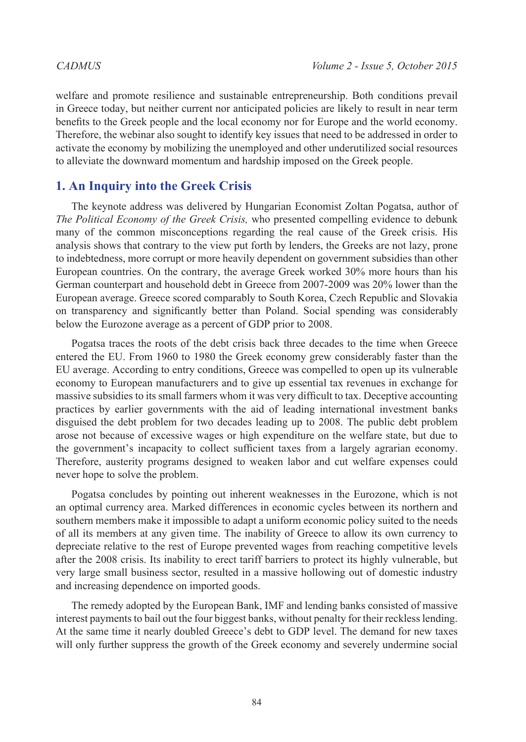welfare and promote resilience and sustainable entrepreneurship. Both conditions prevail in Greece today, but neither current nor anticipated policies are likely to result in near term benefits to the Greek people and the local economy nor for Europe and the world economy. Therefore, the webinar also sought to identify key issues that need to be addressed in order to activate the economy by mobilizing the unemployed and other underutilized social resources to alleviate the downward momentum and hardship imposed on the Greek people.

## **1. An Inquiry into the Greek Crisis**

The keynote address was delivered by Hungarian Economist Zoltan Pogatsa, author of *The Political Economy of the Greek Crisis,* who presented compelling evidence to debunk many of the common misconceptions regarding the real cause of the Greek crisis. His analysis shows that contrary to the view put forth by lenders, the Greeks are not lazy, prone to indebtedness, more corrupt or more heavily dependent on government subsidies than other European countries. On the contrary, the average Greek worked 30% more hours than his German counterpart and household debt in Greece from 2007-2009 was 20% lower than the European average. Greece scored comparably to South Korea, Czech Republic and Slovakia on transparency and significantly better than Poland. Social spending was considerably below the Eurozone average as a percent of GDP prior to 2008.

Pogatsa traces the roots of the debt crisis back three decades to the time when Greece entered the EU. From 1960 to 1980 the Greek economy grew considerably faster than the EU average. According to entry conditions, Greece was compelled to open up its vulnerable economy to European manufacturers and to give up essential tax revenues in exchange for massive subsidies to its small farmers whom it was very difficult to tax. Deceptive accounting practices by earlier governments with the aid of leading international investment banks disguised the debt problem for two decades leading up to 2008. The public debt problem arose not because of excessive wages or high expenditure on the welfare state, but due to the government's incapacity to collect sufficient taxes from a largely agrarian economy. Therefore, austerity programs designed to weaken labor and cut welfare expenses could never hope to solve the problem.

Pogatsa concludes by pointing out inherent weaknesses in the Eurozone, which is not an optimal currency area. Marked differences in economic cycles between its northern and southern members make it impossible to adapt a uniform economic policy suited to the needs of all its members at any given time. The inability of Greece to allow its own currency to depreciate relative to the rest of Europe prevented wages from reaching competitive levels after the 2008 crisis. Its inability to erect tariff barriers to protect its highly vulnerable, but very large small business sector, resulted in a massive hollowing out of domestic industry and increasing dependence on imported goods.

The remedy adopted by the European Bank, IMF and lending banks consisted of massive interest payments to bail out the four biggest banks, without penalty for their reckless lending. At the same time it nearly doubled Greece's debt to GDP level. The demand for new taxes will only further suppress the growth of the Greek economy and severely undermine social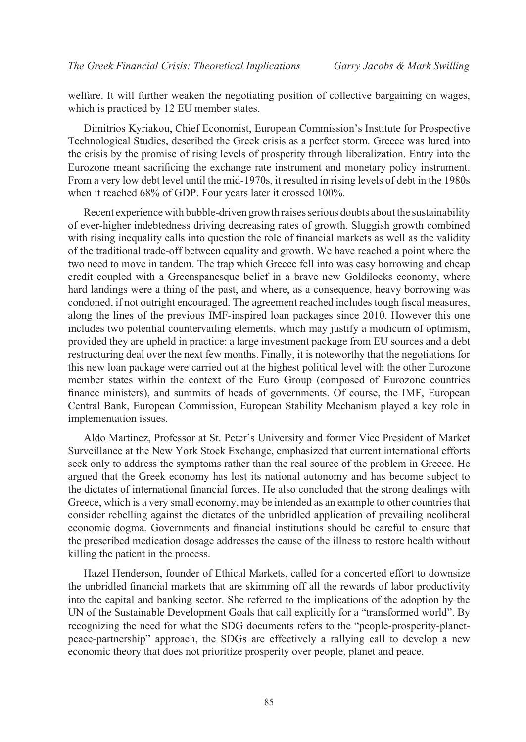welfare. It will further weaken the negotiating position of collective bargaining on wages, which is practiced by 12 EU member states.

Dimitrios Kyriakou, Chief Economist, European Commission's Institute for Prospective Technological Studies, described the Greek crisis as a perfect storm. Greece was lured into the crisis by the promise of rising levels of prosperity through liberalization. Entry into the Eurozone meant sacrificing the exchange rate instrument and monetary policy instrument. From a very low debt level until the mid-1970s, it resulted in rising levels of debt in the 1980s when it reached 68% of GDP. Four years later it crossed 100%.

Recent experience with bubble-driven growth raises serious doubts about the sustainability of ever-higher indebtedness driving decreasing rates of growth. Sluggish growth combined with rising inequality calls into question the role of financial markets as well as the validity of the traditional trade-off between equality and growth. We have reached a point where the two need to move in tandem. The trap which Greece fell into was easy borrowing and cheap credit coupled with a Greenspanesque belief in a brave new Goldilocks economy, where hard landings were a thing of the past, and where, as a consequence, heavy borrowing was condoned, if not outright encouraged. The agreement reached includes tough fiscal measures, along the lines of the previous IMF-inspired loan packages since 2010. However this one includes two potential countervailing elements, which may justify a modicum of optimism, provided they are upheld in practice: a large investment package from EU sources and a debt restructuring deal over the next few months. Finally, it is noteworthy that the negotiations for this new loan package were carried out at the highest political level with the other Eurozone member states within the context of the Euro Group (composed of Eurozone countries finance ministers), and summits of heads of governments. Of course, the IMF, European Central Bank, European Commission, European Stability Mechanism played a key role in implementation issues.

Aldo Martinez, Professor at St. Peter's University and former Vice President of Market Surveillance at the New York Stock Exchange, emphasized that current international efforts seek only to address the symptoms rather than the real source of the problem in Greece. He argued that the Greek economy has lost its national autonomy and has become subject to the dictates of international financial forces. He also concluded that the strong dealings with Greece, which is a very small economy, may be intended as an example to other countries that consider rebelling against the dictates of the unbridled application of prevailing neoliberal economic dogma. Governments and financial institutions should be careful to ensure that the prescribed medication dosage addresses the cause of the illness to restore health without killing the patient in the process.

Hazel Henderson, founder of Ethical Markets, called for a concerted effort to downsize the unbridled financial markets that are skimming off all the rewards of labor productivity into the capital and banking sector. She referred to the implications of the adoption by the UN of the Sustainable Development Goals that call explicitly for a "transformed world". By recognizing the need for what the SDG documents refers to the "people-prosperity-planetpeace-partnership" approach, the SDGs are effectively a rallying call to develop a new economic theory that does not prioritize prosperity over people, planet and peace.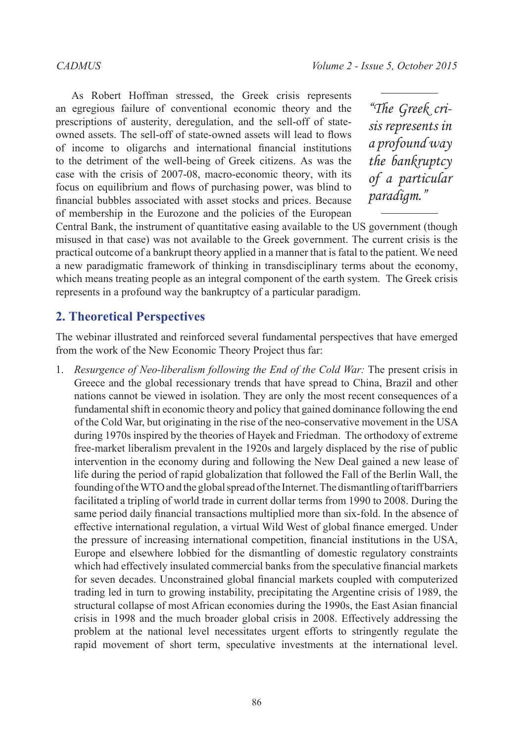As Robert Hoffman stressed, the Greek crisis represents an egregious failure of conventional economic theory and the prescriptions of austerity, deregulation, and the sell-off of stateowned assets. The sell-off of state-owned assets will lead to flows of income to oligarchs and international financial institutions to the detriment of the well-being of Greek citizens. As was the case with the crisis of 2007-08, macro-economic theory, with its focus on equilibrium and flows of purchasing power, was blind to financial bubbles associated with asset stocks and prices. Because of membership in the Eurozone and the policies of the European

*"The Greek crisis represents in a profound way the bankruptcy of a particular paradigm."*

Central Bank, the instrument of quantitative easing available to the US government (though misused in that case) was not available to the Greek government. The current crisis is the practical outcome of a bankrupt theory applied in a manner that is fatal to the patient. We need a new paradigmatic framework of thinking in transdisciplinary terms about the economy, which means treating people as an integral component of the earth system. The Greek crisis represents in a profound way the bankruptcy of a particular paradigm.

# **2. Theoretical Perspectives**

The webinar illustrated and reinforced several fundamental perspectives that have emerged from the work of the New Economic Theory Project thus far:

1. *Resurgence of Neo-liberalism following the End of the Cold War:* The present crisis in Greece and the global recessionary trends that have spread to China, Brazil and other nations cannot be viewed in isolation. They are only the most recent consequences of a fundamental shift in economic theory and policy that gained dominance following the end of the Cold War, but originating in the rise of the neo-conservative movement in the USA during 1970s inspired by the theories of Hayek and Friedman. The orthodoxy of extreme free-market liberalism prevalent in the 1920s and largely displaced by the rise of public intervention in the economy during and following the New Deal gained a new lease of life during the period of rapid globalization that followed the Fall of the Berlin Wall, the founding of the WTO and the global spread of the Internet. The dismantling of tariff barriers facilitated a tripling of world trade in current dollar terms from 1990 to 2008. During the same period daily financial transactions multiplied more than six-fold. In the absence of effective international regulation, a virtual Wild West of global finance emerged. Under the pressure of increasing international competition, financial institutions in the USA, Europe and elsewhere lobbied for the dismantling of domestic regulatory constraints which had effectively insulated commercial banks from the speculative financial markets for seven decades. Unconstrained global financial markets coupled with computerized trading led in turn to growing instability, precipitating the Argentine crisis of 1989, the structural collapse of most African economies during the 1990s, the East Asian financial crisis in 1998 and the much broader global crisis in 2008. Effectively addressing the problem at the national level necessitates urgent efforts to stringently regulate the rapid movement of short term, speculative investments at the international level.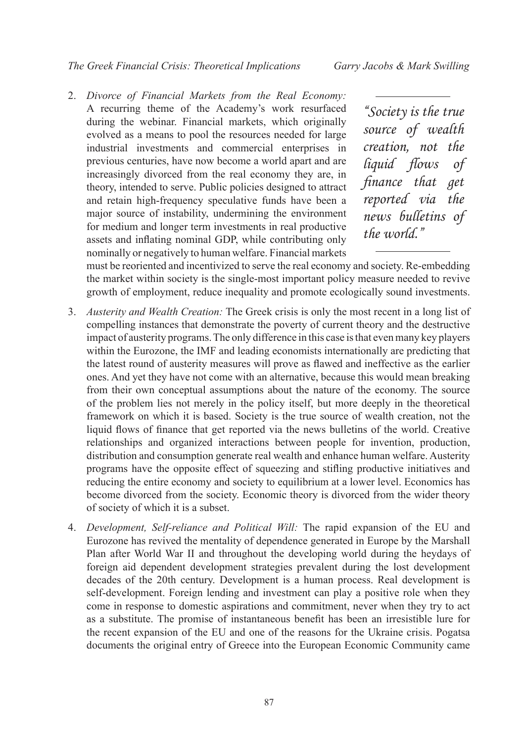*CADMUS Volume 2 - Issue 5, October 2015 The Greek Financial Crisis: Theoretical Implications Garry Jacobs & Mark Swilling*

2. *Divorce of Financial Markets from the Real Economy:* A recurring theme of the Academy's work resurfaced during the webinar. Financial markets, which originally evolved as a means to pool the resources needed for large industrial investments and commercial enterprises in previous centuries, have now become a world apart and are increasingly divorced from the real economy they are, in theory, intended to serve. Public policies designed to attract and retain high-frequency speculative funds have been a major source of instability, undermining the environment for medium and longer term investments in real productive assets and inflating nominal GDP, while contributing only nominally or negatively to human welfare. Financial markets

*"Society is the true source of wealth creation, not the liquid flows of finance that get reported via the news bulletins of the world."*

must be reoriented and incentivized to serve the real economy and society. Re-embedding the market within society is the single-most important policy measure needed to revive growth of employment, reduce inequality and promote ecologically sound investments.

- 3. *Austerity and Wealth Creation:* The Greek crisis is only the most recent in a long list of compelling instances that demonstrate the poverty of current theory and the destructive impact of austerity programs. The only difference in this case is that even many key players within the Eurozone, the IMF and leading economists internationally are predicting that the latest round of austerity measures will prove as flawed and ineffective as the earlier ones. And yet they have not come with an alternative, because this would mean breaking from their own conceptual assumptions about the nature of the economy. The source of the problem lies not merely in the policy itself, but more deeply in the theoretical framework on which it is based. Society is the true source of wealth creation, not the liquid flows of finance that get reported via the news bulletins of the world. Creative relationships and organized interactions between people for invention, production, distribution and consumption generate real wealth and enhance human welfare. Austerity programs have the opposite effect of squeezing and stifling productive initiatives and reducing the entire economy and society to equilibrium at a lower level. Economics has become divorced from the society. Economic theory is divorced from the wider theory of society of which it is a subset.
- 4. *Development, Self-reliance and Political Will:* The rapid expansion of the EU and Eurozone has revived the mentality of dependence generated in Europe by the Marshall Plan after World War II and throughout the developing world during the heydays of foreign aid dependent development strategies prevalent during the lost development decades of the 20th century. Development is a human process. Real development is self-development. Foreign lending and investment can play a positive role when they come in response to domestic aspirations and commitment, never when they try to act as a substitute. The promise of instantaneous benefit has been an irresistible lure for the recent expansion of the EU and one of the reasons for the Ukraine crisis. Pogatsa documents the original entry of Greece into the European Economic Community came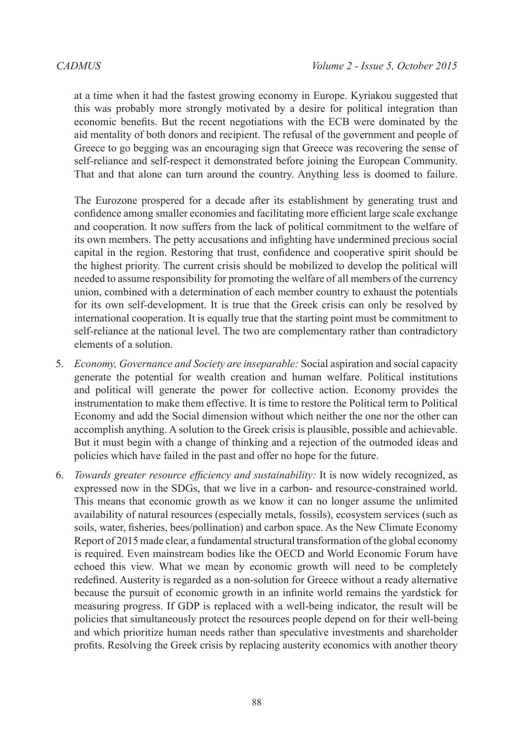at a time when it had the fastest growing economy in Europe. Kyriakou suggested that this was probably more strongly motivated by a desire for political integration than economic benefits. But the recent negotiations with the ECB were dominated by the aid mentality of both donors and recipient. The refusal of the government and people of Greece to go begging was an encouraging sign that Greece was recovering the sense of self-reliance and self-respect it demonstrated before joining the European Community. That and that alone can turn around the country. Anything less is doomed to failure.

The Eurozone prospered for a decade after its establishment by generating trust and confidence among smaller economies and facilitating more efficient large scale exchange and cooperation. It now suffers from the lack of political commitment to the welfare of its own members. The petty accusations and infighting have undermined precious social capital in the region. Restoring that trust, confidence and cooperative spirit should be the highest priority. The current crisis should be mobilized to develop the political will needed to assume responsibility for promoting the welfare of all members of the currency union, combined with a determination of each member country to exhaust the potentials for its own self-development. It is true that the Greek crisis can only be resolved by international cooperation. It is equally true that the starting point must be commitment to self-reliance at the national level. The two are complementary rather than contradictory elements of a solution.

- 5. *Economy, Governance and Society are inseparable:* Social aspiration and social capacity generate the potential for wealth creation and human welfare. Political institutions and political will generate the power for collective action. Economy provides the instrumentation to make them effective. It is time to restore the Political term to Political Economy and add the Social dimension without which neither the one nor the other can accomplish anything. A solution to the Greek crisis is plausible, possible and achievable. But it must begin with a change of thinking and a rejection of the outmoded ideas and policies which have failed in the past and offer no hope for the future.
- 6. *Towards greater resource efficiency and sustainability:* It is now widely recognized, as expressed now in the SDGs, that we live in a carbon- and resource-constrained world. This means that economic growth as we know it can no longer assume the unlimited availability of natural resources (especially metals, fossils), ecosystem services (such as soils, water, fisheries, bees/pollination) and carbon space. As the New Climate Economy Report of 2015 made clear, a fundamental structural transformation of the global economy is required. Even mainstream bodies like the OECD and World Economic Forum have echoed this view. What we mean by economic growth will need to be completely redefined. Austerity is regarded as a non-solution for Greece without a ready alternative because the pursuit of economic growth in an infinite world remains the yardstick for measuring progress. If GDP is replaced with a well-being indicator, the result will be policies that simultaneously protect the resources people depend on for their well-being and which prioritize human needs rather than speculative investments and shareholder profits. Resolving the Greek crisis by replacing austerity economics with another theory